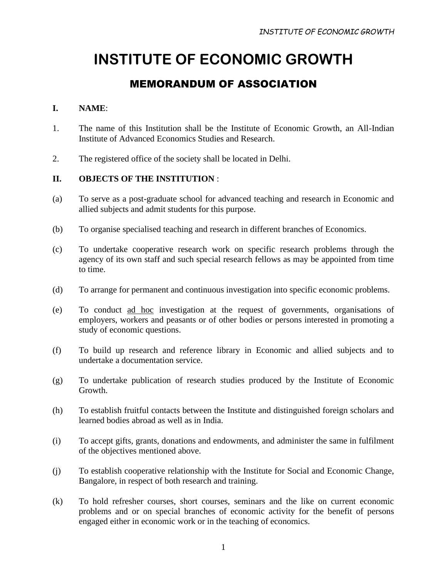## MEMORANDUM OF ASSOCIATION

#### **I. NAME**:

- 1. The name of this Institution shall be the Institute of Economic Growth, an All-Indian Institute of Advanced Economics Studies and Research.
- 2. The registered office of the society shall be located in Delhi.

#### **II. OBJECTS OF THE INSTITUTION** :

- (a) To serve as a post-graduate school for advanced teaching and research in Economic and allied subjects and admit students for this purpose.
- (b) To organise specialised teaching and research in different branches of Economics.
- (c) To undertake cooperative research work on specific research problems through the agency of its own staff and such special research fellows as may be appointed from time to time.
- (d) To arrange for permanent and continuous investigation into specific economic problems.
- (e) To conduct ad hoc investigation at the request of governments, organisations of employers, workers and peasants or of other bodies or persons interested in promoting a study of economic questions.
- (f) To build up research and reference library in Economic and allied subjects and to undertake a documentation service.
- (g) To undertake publication of research studies produced by the Institute of Economic Growth.
- (h) To establish fruitful contacts between the Institute and distinguished foreign scholars and learned bodies abroad as well as in India.
- (i) To accept gifts, grants, donations and endowments, and administer the same in fulfilment of the objectives mentioned above.
- (j) To establish cooperative relationship with the Institute for Social and Economic Change, Bangalore, in respect of both research and training.
- (k) To hold refresher courses, short courses, seminars and the like on current economic problems and or on special branches of economic activity for the benefit of persons engaged either in economic work or in the teaching of economics.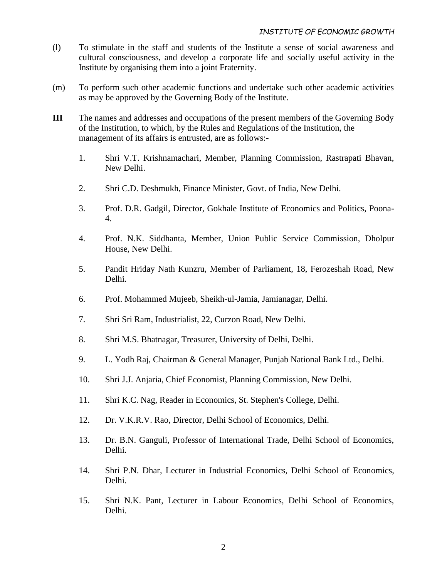- (l) To stimulate in the staff and students of the Institute a sense of social awareness and cultural consciousness, and develop a corporate life and socially useful activity in the Institute by organising them into a joint Fraternity.
- (m) To perform such other academic functions and undertake such other academic activities as may be approved by the Governing Body of the Institute.
- **III** The names and addresses and occupations of the present members of the Governing Body of the Institution, to which, by the Rules and Regulations of the Institution, the management of its affairs is entrusted, are as follows:-
	- 1. Shri V.T. Krishnamachari, Member, Planning Commission, Rastrapati Bhavan, New Delhi.
	- 2. Shri C.D. Deshmukh, Finance Minister, Govt. of India, New Delhi.
	- 3. Prof. D.R. Gadgil, Director, Gokhale Institute of Economics and Politics, Poona-4.
	- 4. Prof. N.K. Siddhanta, Member, Union Public Service Commission, Dholpur House, New Delhi.
	- 5. Pandit Hriday Nath Kunzru, Member of Parliament, 18, Ferozeshah Road, New Delhi.
	- 6. Prof. Mohammed Mujeeb, Sheikh-ul-Jamia, Jamianagar, Delhi.
	- 7. Shri Sri Ram, Industrialist, 22, Curzon Road, New Delhi.
	- 8. Shri M.S. Bhatnagar, Treasurer, University of Delhi, Delhi.
	- 9. L. Yodh Raj, Chairman & General Manager, Punjab National Bank Ltd., Delhi.
	- 10. Shri J.J. Anjaria, Chief Economist, Planning Commission, New Delhi.
	- 11. Shri K.C. Nag, Reader in Economics, St. Stephen's College, Delhi.
	- 12. Dr. V.K.R.V. Rao, Director, Delhi School of Economics, Delhi.
	- 13. Dr. B.N. Ganguli, Professor of International Trade, Delhi School of Economics, Delhi.
	- 14. Shri P.N. Dhar, Lecturer in Industrial Economics, Delhi School of Economics, Delhi.
	- 15. Shri N.K. Pant, Lecturer in Labour Economics, Delhi School of Economics, Delhi.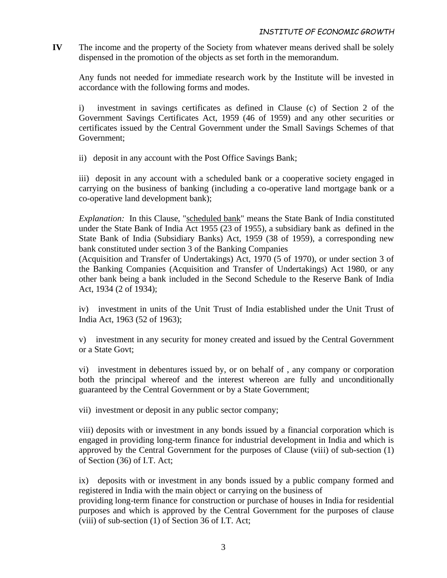**IV** The income and the property of the Society from whatever means derived shall be solely dispensed in the promotion of the objects as set forth in the memorandum.

Any funds not needed for immediate research work by the Institute will be invested in accordance with the following forms and modes.

i) investment in savings certificates as defined in Clause (c) of Section 2 of the Government Savings Certificates Act, 1959 (46 of 1959) and any other securities or certificates issued by the Central Government under the Small Savings Schemes of that Government;

ii) deposit in any account with the Post Office Savings Bank;

iii) deposit in any account with a scheduled bank or a cooperative society engaged in carrying on the business of banking (including a co-operative land mortgage bank or a co-operative land development bank);

*Explanation:* In this Clause, "scheduled bank" means the State Bank of India constituted under the State Bank of India Act 1955 (23 of 1955), a subsidiary bank as defined in the State Bank of India (Subsidiary Banks) Act, 1959 (38 of 1959), a corresponding new bank constituted under section 3 of the Banking Companies

(Acquisition and Transfer of Undertakings) Act, 1970 (5 of 1970), or under section 3 of the Banking Companies (Acquisition and Transfer of Undertakings) Act 1980, or any other bank being a bank included in the Second Schedule to the Reserve Bank of India Act, 1934 (2 of 1934);

iv) investment in units of the Unit Trust of India established under the Unit Trust of India Act, 1963 (52 of 1963);

v) investment in any security for money created and issued by the Central Government or a State Govt;

vi) investment in debentures issued by, or on behalf of , any company or corporation both the principal whereof and the interest whereon are fully and unconditionally guaranteed by the Central Government or by a State Government;

vii) investment or deposit in any public sector company;

viii) deposits with or investment in any bonds issued by a financial corporation which is engaged in providing long-term finance for industrial development in India and which is approved by the Central Government for the purposes of Clause (viii) of sub-section (1) of Section (36) of I.T. Act;

ix) deposits with or investment in any bonds issued by a public company formed and registered in India with the main object or carrying on the business of

providing long-term finance for construction or purchase of houses in India for residential purposes and which is approved by the Central Government for the purposes of clause (viii) of sub-section (1) of Section 36 of I.T. Act;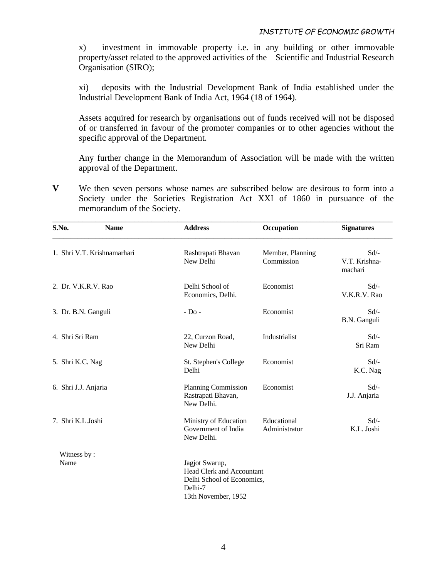x) investment in immovable property i.e. in any building or other immovable property/asset related to the approved activities of the Scientific and Industrial Research Organisation (SIRO);

xi) deposits with the Industrial Development Bank of India established under the Industrial Development Bank of India Act, 1964 (18 of 1964).

Assets acquired for research by organisations out of funds received will not be disposed of or transferred in favour of the promoter companies or to other agencies without the specific approval of the Department.

Any further change in the Memorandum of Association will be made with the written approval of the Department.

**V** We then seven persons whose names are subscribed below are desirous to form into a Society under the Societies Registration Act XXI of 1860 in pursuance of the memorandum of the Society.

| S.No.                | <b>Name</b>                 | <b>Address</b>                                                                                                     | Occupation                     | <b>Signatures</b>                   |
|----------------------|-----------------------------|--------------------------------------------------------------------------------------------------------------------|--------------------------------|-------------------------------------|
|                      | 1. Shri V.T. Krishnamarhari | Rashtrapati Bhavan<br>New Delhi                                                                                    | Member, Planning<br>Commission | $Sd$ /-<br>V.T. Krishna-<br>machari |
| 2. Dr. V.K.R.V. Rao  |                             | Delhi School of<br>Economics, Delhi.                                                                               | Economist                      | $Sd$ /-<br>V.K.R.V. Rao             |
| 3. Dr. B.N. Ganguli  |                             | $-D0$                                                                                                              | Economist                      | $Sd$ /-<br>B.N. Ganguli             |
| 4. Shri Sri Ram      |                             | 22, Curzon Road,<br>New Delhi                                                                                      | Industrialist                  | $Sd$ /-<br>Sri Ram                  |
| 5. Shri K.C. Nag     |                             | St. Stephen's College<br>Delhi                                                                                     | Economist                      | $Sd$ /-<br>K.C. Nag                 |
| 6. Shri J.J. Anjaria |                             | <b>Planning Commission</b><br>Rastrapati Bhavan,<br>New Delhi.                                                     | Economist                      | $Sd$ /-<br>J.J. Anjaria             |
| 7. Shri K.L.Joshi    |                             | Ministry of Education<br>Government of India<br>New Delhi.                                                         | Educational<br>Administrator   | Sd/-<br>K.L. Joshi                  |
| Witness by:<br>Name  |                             | Jagjot Swarup,<br><b>Head Clerk and Accountant</b><br>Delhi School of Economics,<br>Delhi-7<br>13th November, 1952 |                                |                                     |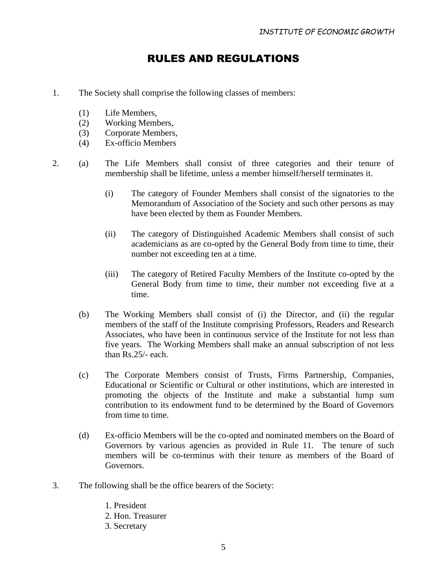### RULES AND REGULATIONS

- 1. The Society shall comprise the following classes of members:
	- (1) Life Members,
	- (2) Working Members,
	- (3) Corporate Members,
	- (4) Ex-officio Members
- 2. (a) The Life Members shall consist of three categories and their tenure of membership shall be lifetime, unless a member himself/herself terminates it.
	- (i) The category of Founder Members shall consist of the signatories to the Memorandum of Association of the Society and such other persons as may have been elected by them as Founder Members.
	- (ii) The category of Distinguished Academic Members shall consist of such academicians as are co-opted by the General Body from time to time, their number not exceeding ten at a time.
	- (iii) The category of Retired Faculty Members of the Institute co-opted by the General Body from time to time, their number not exceeding five at a time.
	- (b) The Working Members shall consist of (i) the Director, and (ii) the regular members of the staff of the Institute comprising Professors, Readers and Research Associates, who have been in continuous service of the Institute for not less than five years. The Working Members shall make an annual subscription of not less than Rs.25/- each.
	- (c) The Corporate Members consist of Trusts, Firms Partnership, Companies, Educational or Scientific or Cultural or other institutions, which are interested in promoting the objects of the Institute and make a substantial lump sum contribution to its endowment fund to be determined by the Board of Governors from time to time.
	- (d) Ex-officio Members will be the co-opted and nominated members on the Board of Governors by various agencies as provided in Rule 11. The tenure of such members will be co-terminus with their tenure as members of the Board of Governors.
- 3. The following shall be the office bearers of the Society:
	- 1. President
	- 2. Hon. Treasurer
	- 3. Secretary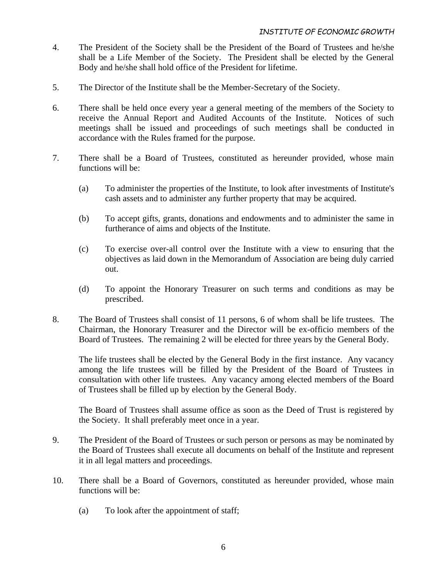- 4. The President of the Society shall be the President of the Board of Trustees and he/she shall be a Life Member of the Society. The President shall be elected by the General Body and he/she shall hold office of the President for lifetime.
- 5. The Director of the Institute shall be the Member-Secretary of the Society.
- 6. There shall be held once every year a general meeting of the members of the Society to receive the Annual Report and Audited Accounts of the Institute. Notices of such meetings shall be issued and proceedings of such meetings shall be conducted in accordance with the Rules framed for the purpose.
- 7. There shall be a Board of Trustees, constituted as hereunder provided, whose main functions will be:
	- (a) To administer the properties of the Institute, to look after investments of Institute's cash assets and to administer any further property that may be acquired.
	- (b) To accept gifts, grants, donations and endowments and to administer the same in furtherance of aims and objects of the Institute.
	- (c) To exercise over-all control over the Institute with a view to ensuring that the objectives as laid down in the Memorandum of Association are being duly carried out.
	- (d) To appoint the Honorary Treasurer on such terms and conditions as may be prescribed.
- 8. The Board of Trustees shall consist of 11 persons, 6 of whom shall be life trustees. The Chairman, the Honorary Treasurer and the Director will be ex-officio members of the Board of Trustees. The remaining 2 will be elected for three years by the General Body.

The life trustees shall be elected by the General Body in the first instance. Any vacancy among the life trustees will be filled by the President of the Board of Trustees in consultation with other life trustees. Any vacancy among elected members of the Board of Trustees shall be filled up by election by the General Body.

The Board of Trustees shall assume office as soon as the Deed of Trust is registered by the Society. It shall preferably meet once in a year.

- 9. The President of the Board of Trustees or such person or persons as may be nominated by the Board of Trustees shall execute all documents on behalf of the Institute and represent it in all legal matters and proceedings.
- 10. There shall be a Board of Governors, constituted as hereunder provided, whose main functions will be:
	- (a) To look after the appointment of staff;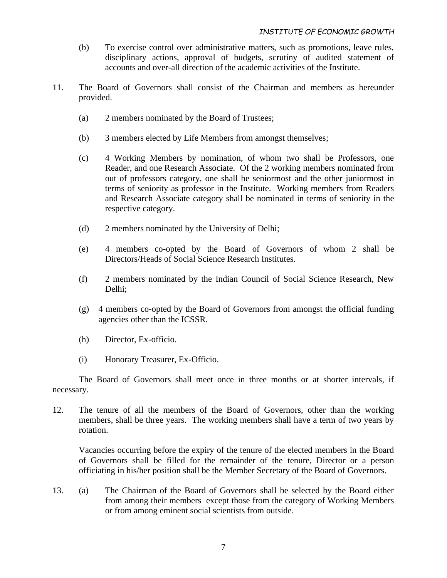- (b) To exercise control over administrative matters, such as promotions, leave rules, disciplinary actions, approval of budgets, scrutiny of audited statement of accounts and over-all direction of the academic activities of the Institute.
- 11. The Board of Governors shall consist of the Chairman and members as hereunder provided.
	- (a) 2 members nominated by the Board of Trustees;
	- (b) 3 members elected by Life Members from amongst themselves;
	- (c) 4 Working Members by nomination, of whom two shall be Professors, one Reader, and one Research Associate. Of the 2 working members nominated from out of professors category, one shall be seniormost and the other juniormost in terms of seniority as professor in the Institute. Working members from Readers and Research Associate category shall be nominated in terms of seniority in the respective category.
	- (d) 2 members nominated by the University of Delhi;
	- (e) 4 members co-opted by the Board of Governors of whom 2 shall be Directors/Heads of Social Science Research Institutes.
	- (f) 2 members nominated by the Indian Council of Social Science Research, New Delhi;
	- (g) 4 members co-opted by the Board of Governors from amongst the official funding agencies other than the ICSSR.
	- (h) Director, Ex-officio.
	- (i) Honorary Treasurer, Ex-Officio.

The Board of Governors shall meet once in three months or at shorter intervals, if necessary.

12. The tenure of all the members of the Board of Governors, other than the working members, shall be three years. The working members shall have a term of two years by rotation.

Vacancies occurring before the expiry of the tenure of the elected members in the Board of Governors shall be filled for the remainder of the tenure, Director or a person officiating in his/her position shall be the Member Secretary of the Board of Governors.

13. (a) The Chairman of the Board of Governors shall be selected by the Board either from among their members except those from the category of Working Members or from among eminent social scientists from outside.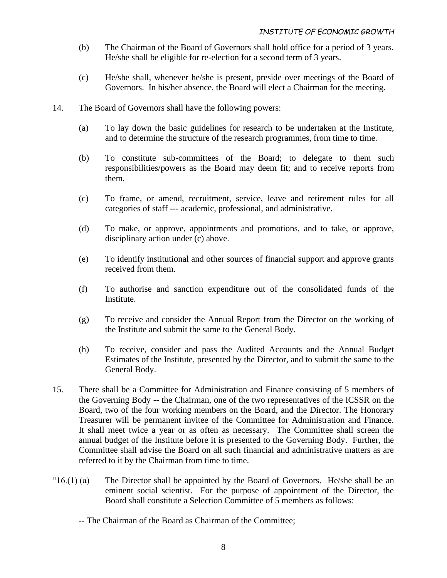- (b) The Chairman of the Board of Governors shall hold office for a period of 3 years. He/she shall be eligible for re-election for a second term of 3 years.
- (c) He/she shall, whenever he/she is present, preside over meetings of the Board of Governors. In his/her absence, the Board will elect a Chairman for the meeting.
- 14. The Board of Governors shall have the following powers:
	- (a) To lay down the basic guidelines for research to be undertaken at the Institute, and to determine the structure of the research programmes, from time to time.
	- (b) To constitute sub-committees of the Board; to delegate to them such responsibilities/powers as the Board may deem fit; and to receive reports from them.
	- (c) To frame, or amend, recruitment, service, leave and retirement rules for all categories of staff --- academic, professional, and administrative.
	- (d) To make, or approve, appointments and promotions, and to take, or approve, disciplinary action under (c) above.
	- (e) To identify institutional and other sources of financial support and approve grants received from them.
	- (f) To authorise and sanction expenditure out of the consolidated funds of the Institute.
	- (g) To receive and consider the Annual Report from the Director on the working of the Institute and submit the same to the General Body.
	- (h) To receive, consider and pass the Audited Accounts and the Annual Budget Estimates of the Institute, presented by the Director, and to submit the same to the General Body.
- 15. There shall be a Committee for Administration and Finance consisting of 5 members of the Governing Body -- the Chairman, one of the two representatives of the ICSSR on the Board, two of the four working members on the Board, and the Director. The Honorary Treasurer will be permanent invitee of the Committee for Administration and Finance. It shall meet twice a year or as often as necessary. The Committee shall screen the annual budget of the Institute before it is presented to the Governing Body. Further, the Committee shall advise the Board on all such financial and administrative matters as are referred to it by the Chairman from time to time.
- " $16(1)$  (a) The Director shall be appointed by the Board of Governors. He/she shall be an eminent social scientist. For the purpose of appointment of the Director, the Board shall constitute a Selection Committee of 5 members as follows:
	- -- The Chairman of the Board as Chairman of the Committee;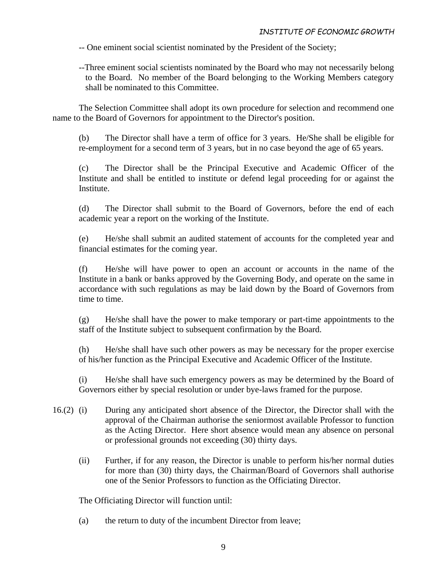-- One eminent social scientist nominated by the President of the Society;

--Three eminent social scientists nominated by the Board who may not necessarily belong to the Board. No member of the Board belonging to the Working Members category shall be nominated to this Committee.

The Selection Committee shall adopt its own procedure for selection and recommend one name to the Board of Governors for appointment to the Director's position.

(b) The Director shall have a term of office for 3 years. He/She shall be eligible for re-employment for a second term of 3 years, but in no case beyond the age of 65 years.

(c) The Director shall be the Principal Executive and Academic Officer of the Institute and shall be entitled to institute or defend legal proceeding for or against the Institute.

(d) The Director shall submit to the Board of Governors, before the end of each academic year a report on the working of the Institute.

(e) He/she shall submit an audited statement of accounts for the completed year and financial estimates for the coming year.

(f) He/she will have power to open an account or accounts in the name of the Institute in a bank or banks approved by the Governing Body, and operate on the same in accordance with such regulations as may be laid down by the Board of Governors from time to time.

(g) He/she shall have the power to make temporary or part-time appointments to the staff of the Institute subject to subsequent confirmation by the Board.

(h) He/she shall have such other powers as may be necessary for the proper exercise of his/her function as the Principal Executive and Academic Officer of the Institute.

(i) He/she shall have such emergency powers as may be determined by the Board of Governors either by special resolution or under bye-laws framed for the purpose.

- 16.(2) (i) During any anticipated short absence of the Director, the Director shall with the approval of the Chairman authorise the seniormost available Professor to function as the Acting Director. Here short absence would mean any absence on personal or professional grounds not exceeding (30) thirty days.
	- (ii) Further, if for any reason, the Director is unable to perform his/her normal duties for more than (30) thirty days, the Chairman/Board of Governors shall authorise one of the Senior Professors to function as the Officiating Director.

The Officiating Director will function until:

(a) the return to duty of the incumbent Director from leave;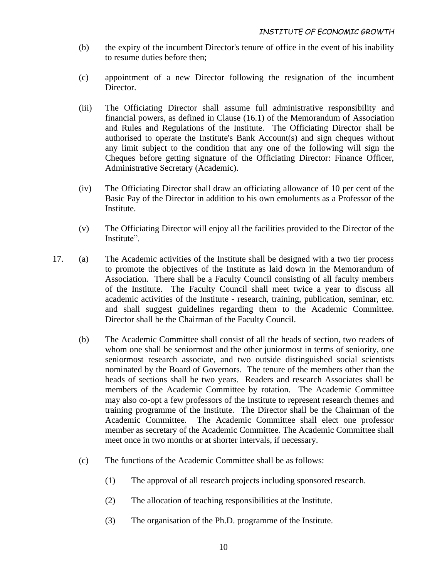- (b) the expiry of the incumbent Director's tenure of office in the event of his inability to resume duties before then;
- (c) appointment of a new Director following the resignation of the incumbent Director.
- (iii) The Officiating Director shall assume full administrative responsibility and financial powers, as defined in Clause (16.1) of the Memorandum of Association and Rules and Regulations of the Institute. The Officiating Director shall be authorised to operate the Institute's Bank Account(s) and sign cheques without any limit subject to the condition that any one of the following will sign the Cheques before getting signature of the Officiating Director: Finance Officer, Administrative Secretary (Academic).
- (iv) The Officiating Director shall draw an officiating allowance of 10 per cent of the Basic Pay of the Director in addition to his own emoluments as a Professor of the Institute.
- (v) The Officiating Director will enjoy all the facilities provided to the Director of the Institute".
- 17. (a) The Academic activities of the Institute shall be designed with a two tier process to promote the objectives of the Institute as laid down in the Memorandum of Association. There shall be a Faculty Council consisting of all faculty members of the Institute. The Faculty Council shall meet twice a year to discuss all academic activities of the Institute - research, training, publication, seminar, etc. and shall suggest guidelines regarding them to the Academic Committee. Director shall be the Chairman of the Faculty Council.
	- (b) The Academic Committee shall consist of all the heads of section, two readers of whom one shall be seniormost and the other juniormost in terms of seniority, one seniormost research associate, and two outside distinguished social scientists nominated by the Board of Governors. The tenure of the members other than the heads of sections shall be two years. Readers and research Associates shall be members of the Academic Committee by rotation. The Academic Committee may also co-opt a few professors of the Institute to represent research themes and training programme of the Institute. The Director shall be the Chairman of the Academic Committee. The Academic Committee shall elect one professor member as secretary of the Academic Committee. The Academic Committee shall meet once in two months or at shorter intervals, if necessary.
	- (c) The functions of the Academic Committee shall be as follows:
		- (1) The approval of all research projects including sponsored research.
		- (2) The allocation of teaching responsibilities at the Institute.
		- (3) The organisation of the Ph.D. programme of the Institute.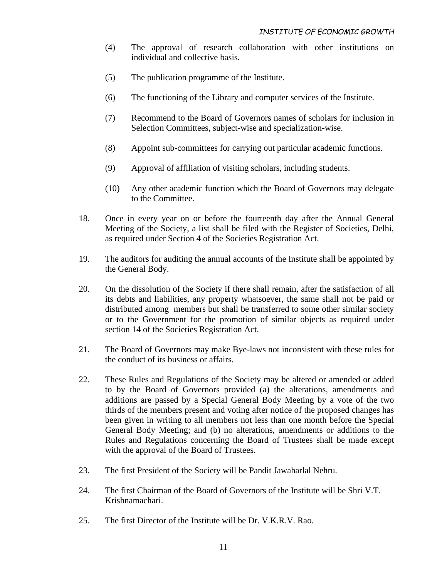- (4) The approval of research collaboration with other institutions on individual and collective basis.
- (5) The publication programme of the Institute.
- (6) The functioning of the Library and computer services of the Institute.
- (7) Recommend to the Board of Governors names of scholars for inclusion in Selection Committees, subject-wise and specialization-wise.
- (8) Appoint sub-committees for carrying out particular academic functions.
- (9) Approval of affiliation of visiting scholars, including students.
- (10) Any other academic function which the Board of Governors may delegate to the Committee.
- 18. Once in every year on or before the fourteenth day after the Annual General Meeting of the Society, a list shall be filed with the Register of Societies, Delhi, as required under Section 4 of the Societies Registration Act.
- 19. The auditors for auditing the annual accounts of the Institute shall be appointed by the General Body.
- 20. On the dissolution of the Society if there shall remain, after the satisfaction of all its debts and liabilities, any property whatsoever, the same shall not be paid or distributed among members but shall be transferred to some other similar society or to the Government for the promotion of similar objects as required under section 14 of the Societies Registration Act.
- 21. The Board of Governors may make Bye-laws not inconsistent with these rules for the conduct of its business or affairs.
- 22. These Rules and Regulations of the Society may be altered or amended or added to by the Board of Governors provided (a) the alterations, amendments and additions are passed by a Special General Body Meeting by a vote of the two thirds of the members present and voting after notice of the proposed changes has been given in writing to all members not less than one month before the Special General Body Meeting; and (b) no alterations, amendments or additions to the Rules and Regulations concerning the Board of Trustees shall be made except with the approval of the Board of Trustees.
- 23. The first President of the Society will be Pandit Jawaharlal Nehru.
- 24. The first Chairman of the Board of Governors of the Institute will be Shri V.T. Krishnamachari.
- 25. The first Director of the Institute will be Dr. V.K.R.V. Rao.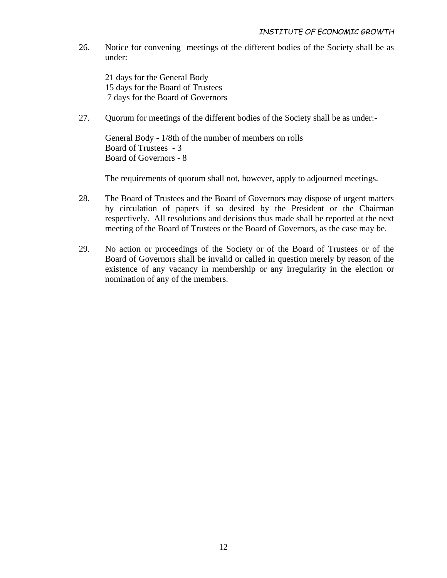26. Notice for convening meetings of the different bodies of the Society shall be as under:

21 days for the General Body 15 days for the Board of Trustees 7 days for the Board of Governors

27. Quorum for meetings of the different bodies of the Society shall be as under:-

General Body - 1/8th of the number of members on rolls Board of Trustees - 3 Board of Governors - 8

The requirements of quorum shall not, however, apply to adjourned meetings.

- 28. The Board of Trustees and the Board of Governors may dispose of urgent matters by circulation of papers if so desired by the President or the Chairman respectively. All resolutions and decisions thus made shall be reported at the next meeting of the Board of Trustees or the Board of Governors, as the case may be.
- 29. No action or proceedings of the Society or of the Board of Trustees or of the Board of Governors shall be invalid or called in question merely by reason of the existence of any vacancy in membership or any irregularity in the election or nomination of any of the members.